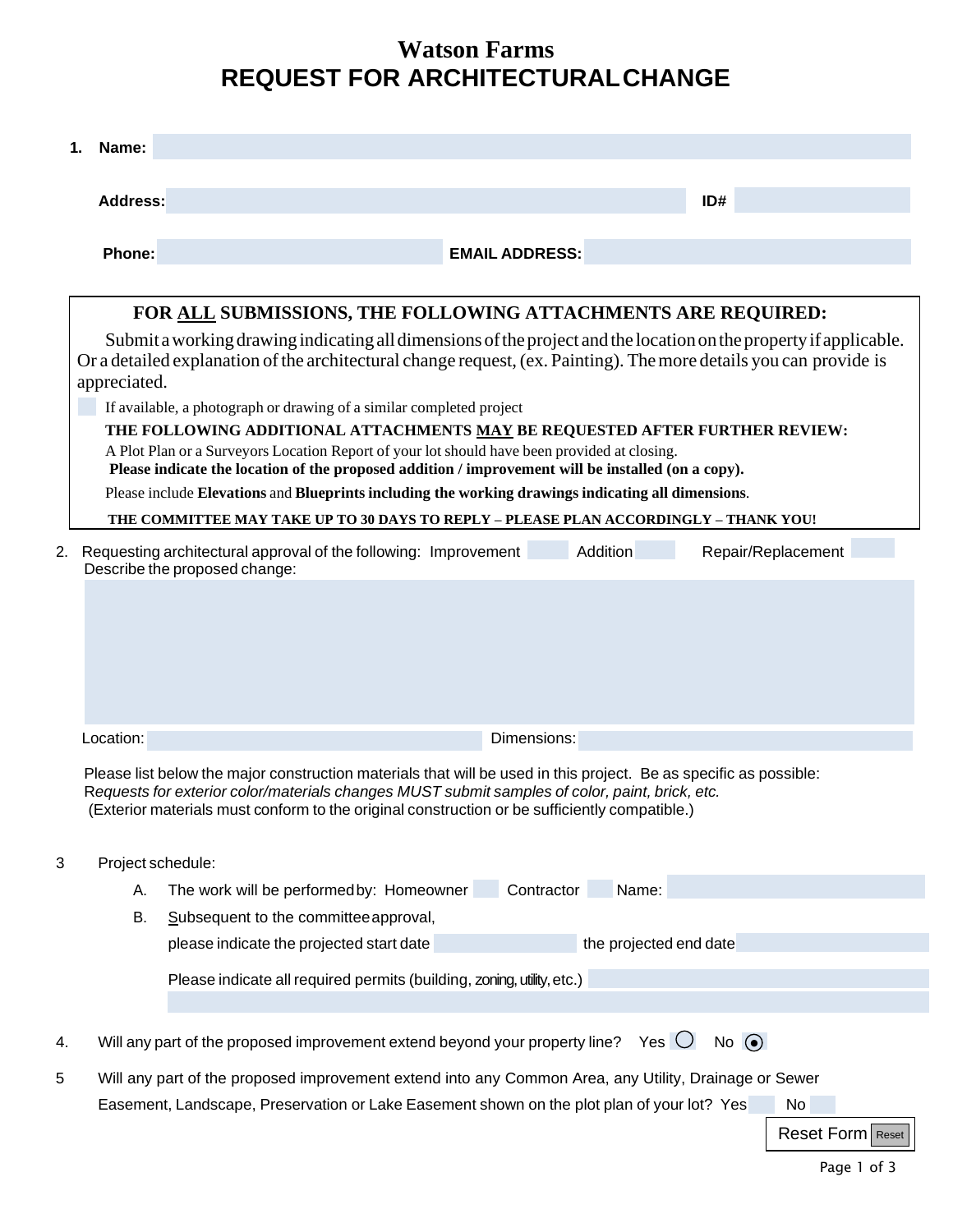# **Watson Farms REQUEST FOR ARCHITECTURALCHANGE**

| 1.                                                                                                                                                                                                                                                      | Name:                                                                                                                                               |                                                                                                                                                                                                                                                                                                                      |  |  |  |  |  |
|---------------------------------------------------------------------------------------------------------------------------------------------------------------------------------------------------------------------------------------------------------|-----------------------------------------------------------------------------------------------------------------------------------------------------|----------------------------------------------------------------------------------------------------------------------------------------------------------------------------------------------------------------------------------------------------------------------------------------------------------------------|--|--|--|--|--|
|                                                                                                                                                                                                                                                         | <b>Address:</b>                                                                                                                                     | ID#                                                                                                                                                                                                                                                                                                                  |  |  |  |  |  |
|                                                                                                                                                                                                                                                         | Phone:                                                                                                                                              | <b>EMAIL ADDRESS:</b>                                                                                                                                                                                                                                                                                                |  |  |  |  |  |
| <b>FOR ALL SUBMISSIONS, THE FOLLOWING ATTACHMENTS ARE REQUIRED:</b>                                                                                                                                                                                     |                                                                                                                                                     |                                                                                                                                                                                                                                                                                                                      |  |  |  |  |  |
| Submit a working drawing indicating all dimensions of the project and the location on the property if applicable.<br>Or a detailed explanation of the architectural change request, (ex. Painting). The more details you can provide is<br>appreciated. |                                                                                                                                                     |                                                                                                                                                                                                                                                                                                                      |  |  |  |  |  |
|                                                                                                                                                                                                                                                         | If available, a photograph or drawing of a similar completed project<br>THE FOLLOWING ADDITIONAL ATTACHMENTS MAY BE REQUESTED AFTER FURTHER REVIEW: |                                                                                                                                                                                                                                                                                                                      |  |  |  |  |  |
|                                                                                                                                                                                                                                                         |                                                                                                                                                     | A Plot Plan or a Surveyors Location Report of your lot should have been provided at closing.<br>Please indicate the location of the proposed addition / improvement will be installed (on a copy).                                                                                                                   |  |  |  |  |  |
|                                                                                                                                                                                                                                                         |                                                                                                                                                     | Please include Elevations and Blueprints including the working drawings indicating all dimensions.                                                                                                                                                                                                                   |  |  |  |  |  |
|                                                                                                                                                                                                                                                         |                                                                                                                                                     | THE COMMITTEE MAY TAKE UP TO 30 DAYS TO REPLY - PLEASE PLAN ACCORDINGLY - THANK YOU!                                                                                                                                                                                                                                 |  |  |  |  |  |
| 2.                                                                                                                                                                                                                                                      |                                                                                                                                                     | Addition<br>Repair/Replacement<br>Requesting architectural approval of the following: Improvement<br>Describe the proposed change:                                                                                                                                                                                   |  |  |  |  |  |
|                                                                                                                                                                                                                                                         | Location:                                                                                                                                           | Dimensions:                                                                                                                                                                                                                                                                                                          |  |  |  |  |  |
|                                                                                                                                                                                                                                                         |                                                                                                                                                     | Please list below the major construction materials that will be used in this project. Be as specific as possible:<br>Requests for exterior color/materials changes MUST submit samples of color, paint, brick, etc.<br>(Exterior materials must conform to the original construction or be sufficiently compatible.) |  |  |  |  |  |
| 3                                                                                                                                                                                                                                                       | Project schedule:                                                                                                                                   |                                                                                                                                                                                                                                                                                                                      |  |  |  |  |  |
|                                                                                                                                                                                                                                                         | А.                                                                                                                                                  | The work will be performed by: Homeowner Contractor<br>Name:                                                                                                                                                                                                                                                         |  |  |  |  |  |
|                                                                                                                                                                                                                                                         | В.                                                                                                                                                  | Subsequent to the committee approval,                                                                                                                                                                                                                                                                                |  |  |  |  |  |
|                                                                                                                                                                                                                                                         |                                                                                                                                                     | the projected end date<br>please indicate the projected start date                                                                                                                                                                                                                                                   |  |  |  |  |  |
|                                                                                                                                                                                                                                                         |                                                                                                                                                     | Please indicate all required permits (building, zoning, utility, etc.)                                                                                                                                                                                                                                               |  |  |  |  |  |
|                                                                                                                                                                                                                                                         |                                                                                                                                                     |                                                                                                                                                                                                                                                                                                                      |  |  |  |  |  |
| 4.                                                                                                                                                                                                                                                      |                                                                                                                                                     | Will any part of the proposed improvement extend beyond your property line?<br>Yes $\bigcirc$<br>No $\odot$                                                                                                                                                                                                          |  |  |  |  |  |
| 5                                                                                                                                                                                                                                                       |                                                                                                                                                     | Will any part of the proposed improvement extend into any Common Area, any Utility, Drainage or Sewer<br>Easement, Landscape, Preservation or Lake Easement shown on the plot plan of your lot? Yes<br>No<br>Reset Form   Reset                                                                                      |  |  |  |  |  |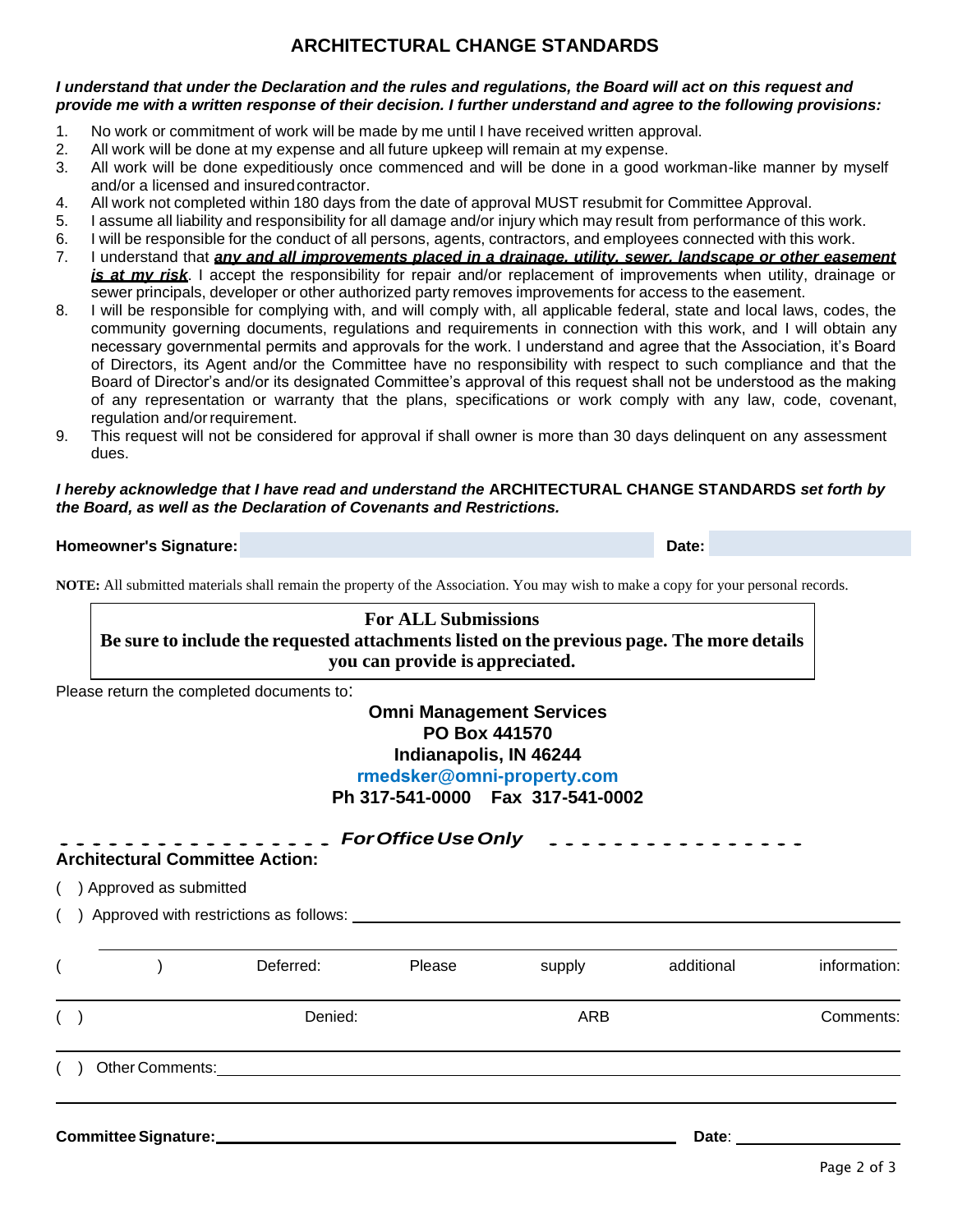### **ARCHITECTURAL CHANGE STANDARDS**

#### *I understand that under the Declaration and the rules and regulations, the Board will act on this request and provide me with a written response of their decision. I further understand and agree to the following provisions:*

- 1. No work or commitment of work will be made by me until I have received written approval.
- 2. All work will be done at my expense and all future upkeep will remain at my expense.
- 3. All work will be done expeditiously once commenced and will be done in a good workman-like manner by myself and/or a licensed and insuredcontractor.
- 4. All work not completed within 180 days from the date of approval MUST resubmit for Committee Approval.
- 5. I assume all liability and responsibility for all damage and/or injury which may result from performance of this work.
- 6. I will be responsible for the conduct of all persons, agents, contractors, and employees connected with this work.
- 7. I understand that *any and all improvements placed in a drainage, utility, sewer, landscape or other easement is at my risk*. I accept the responsibility for repair and/or replacement of improvements when utility, drainage or sewer principals, developer or other authorized party removes improvements for access to the easement.
- 8. I will be responsible for complying with, and will comply with, all applicable federal, state and local laws, codes, the community governing documents, regulations and requirements in connection with this work, and I will obtain any necessary governmental permits and approvals for the work. I understand and agree that the Association, it's Board of Directors, its Agent and/or the Committee have no responsibility with respect to such compliance and that the Board of Director's and/or its designated Committee's approval of this request shall not be understood as the making of any representation or warranty that the plans, specifications or work comply with any law, code, covenant, regulation and/or requirement.
- 9. This request will not be considered for approval if shall owner is more than 30 days delinquent on any assessment dues.

#### *I hereby acknowledge that I have read and understand the* **ARCHITECTURAL CHANGE STANDARDS** *set forth by the Board, as well as the Declaration of Covenants and Restrictions.*

#### **Homeowner's Signature: Date:** Date: Date: Date: Date: Date: Date: Date: Date: Date: Date: Date: Date: Date: Date: Date: Date: Date: Date: Date: Date: Date: Date: Date: Date: Date: Date: Date: Date: Date: Date: Date: Dat

**NOTE:** All submitted materials shall remain the property of the Association. You may wish to make a copy for your personal records.

#### **For ALL Submissions Be sure to include the requested attachments listed on the previous page. The more details you can provide is appreciated.**

Please return the completed documents to:

### **Omni Management Services PO Box 441570 Indianapolis, IN 46244 rmedsker@omni-property.com**

**Ph 317-541-0000 Fax 317-541-0002** 

#### *ForOfficeUseOnly* **Architectural Committee Action:**

( ) Approved as submitted

( ) Approved with restrictions as follows:

|  | Deferred: | Please | supply | additional | information: |
|--|-----------|--------|--------|------------|--------------|
|  | Denied:   |        | ARB    |            | Comments:    |
|  |           |        |        |            |              |
|  |           |        |        |            |              |

**Committee Signature: Date: Date: Date: Date: Date: Date: Date: Date: Date: Date: Date: Date: Date: Date: Date: Date: Date: Date: Date: Date: Date: Date: Date: Date: Date:**